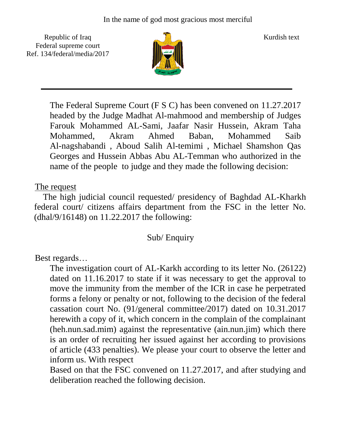Republic of Iraq  $\frac{1}{\sqrt{n}}$  Kurdish text Federal supreme court Ref. 134/federal/media/2017



The Federal Supreme Court (F S C) has been convened on 11.27.2017 headed by the Judge Madhat Al-mahmood and membership of Judges Farouk Mohammed AL-Sami, Jaafar Nasir Hussein, Akram Taha Mohammed, Akram Ahmed Baban, Mohammed Saib Al-nagshabandi , Aboud Salih Al-temimi , Michael Shamshon Qas Georges and Hussein Abbas Abu AL-Temman who authorized in the name of the people to judge and they made the following decision:

## The request

 The high judicial council requested/ presidency of Baghdad AL-Kharkh federal court/ citizens affairs department from the FSC in the letter No. (dhal/9/16148) on 11.22.2017 the following:

## Sub/ Enquiry

Best regards…

The investigation court of AL-Karkh according to its letter No. (26122) dated on 11.16.2017 to state if it was necessary to get the approval to move the immunity from the member of the ICR in case he perpetrated forms a felony or penalty or not, following to the decision of the federal cassation court No. (91/general committee/2017) dated on 10.31.2017 herewith a copy of it, which concern in the complain of the complainant (heh.nun.sad.mim) against the representative (ain.nun.jim) which there is an order of recruiting her issued against her according to provisions of article (433 penalties). We please your court to observe the letter and inform us. With respect

Based on that the FSC convened on 11.27.2017, and after studying and deliberation reached the following decision.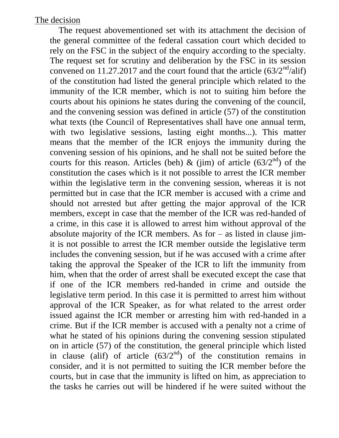The request abovementioned set with its attachment the decision of the general committee of the federal cassation court which decided to rely on the FSC in the subject of the enquiry according to the specialty. The request set for scrutiny and deliberation by the FSC in its session convened on 11.27.2017 and the court found that the article  $(63/2<sup>nd</sup>/ali f)$ of the constitution had listed the general principle which related to the immunity of the ICR member, which is not to suiting him before the courts about his opinions he states during the convening of the council, and the convening session was defined in article (57) of the constitution what texts (the Council of Representatives shall have one annual term, with two legislative sessions, lasting eight months...). This matter means that the member of the ICR enjoys the immunity during the convening session of his opinions, and he shall not be suited before the courts for this reason. Articles (beh) & (jim) of article  $(63/2<sup>nd</sup>)$  of the constitution the cases which is it not possible to arrest the ICR member within the legislative term in the convening session, whereas it is not permitted but in case that the ICR member is accused with a crime and should not arrested but after getting the major approval of the ICR members, except in case that the member of the ICR was red-handed of a crime, in this case it is allowed to arrest him without approval of the absolute majority of the ICR members. As for  $-$  as listed in clause jimit is not possible to arrest the ICR member outside the legislative term includes the convening session, but if he was accused with a crime after taking the approval the Speaker of the ICR to lift the immunity from him, when that the order of arrest shall be executed except the case that if one of the ICR members red-handed in crime and outside the legislative term period. In this case it is permitted to arrest him without approval of the ICR Speaker, as for what related to the arrest order issued against the ICR member or arresting him with red-handed in a crime. But if the ICR member is accused with a penalty not a crime of what he stated of his opinions during the convening session stipulated on in article (57) of the constitution, the general principle which listed in clause (alif) of article  $(63/2<sup>nd</sup>)$  of the constitution remains in consider, and it is not permitted to suiting the ICR member before the courts, but in case that the immunity is lifted on him, as appreciation to the tasks he carries out will be hindered if he were suited without the